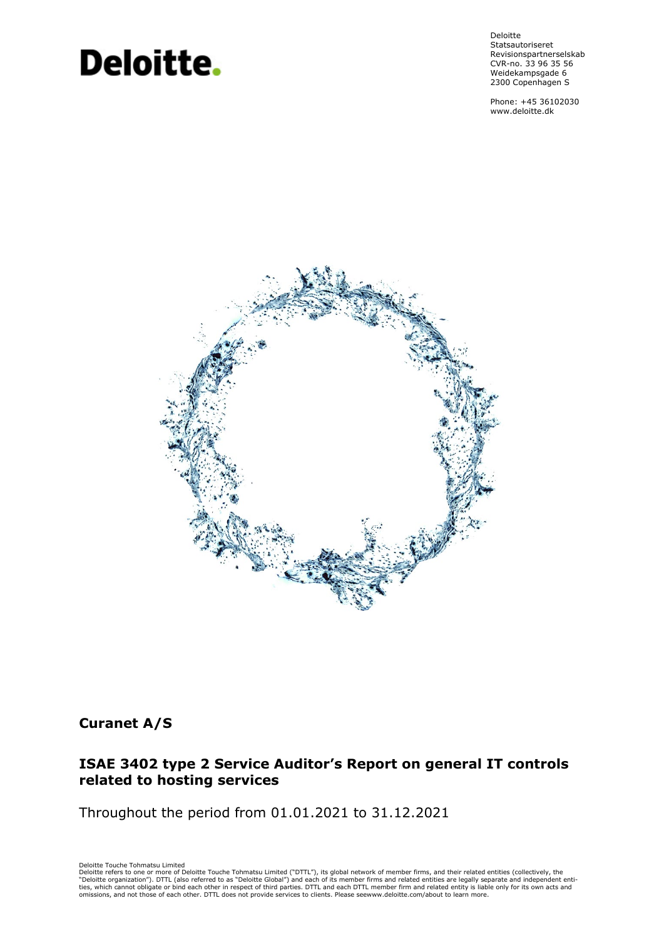# **Deloitte.**

Deloitte Statsautoriseret Revisionspartnerselskab CVR-no. 33 96 35 56 Weidekampsgade 6 2300 Copenhagen S

Phone: +45 36102030 www.deloitte.dk



# **Curanet A/S**

# **ISAE 3402 type 2 Service Auditor's Report on general IT controls related to hosting services**

Throughout the period from 01.01.2021 to 31.12.2021

Deloitte Touche Tohmatsu Limited<br>Deloitte refers to one or more of Deloitte Touche Tohmatsu Limited ("DTTL"), its global network of member firms, and their related entities (collectively, the<br>"Deloitte organization"). DTTL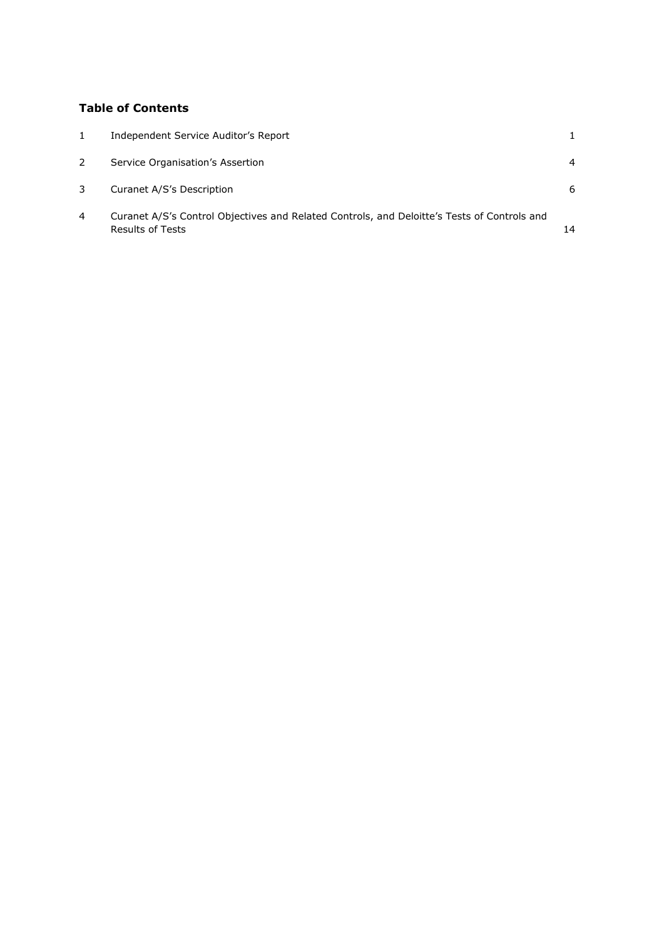# **Table of Contents**

| $\mathbf{1}$ | Independent Service Auditor's Report                                                                            |    |
|--------------|-----------------------------------------------------------------------------------------------------------------|----|
| 2            | Service Organisation's Assertion                                                                                | 4  |
|              | Curanet A/S's Description                                                                                       | 6  |
| 4            | Curanet A/S's Control Objectives and Related Controls, and Deloitte's Tests of Controls and<br>Results of Tests | 14 |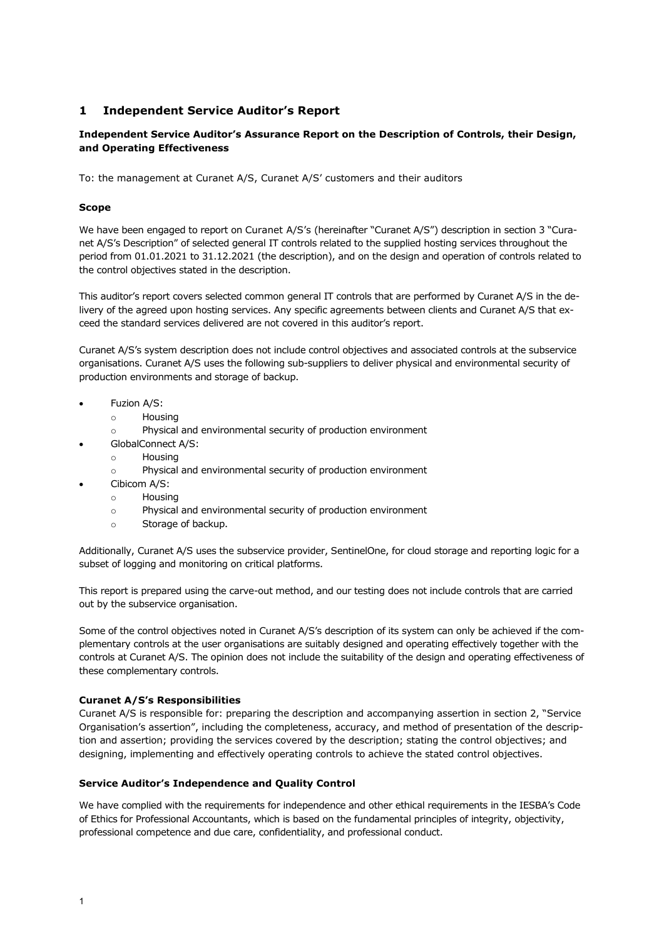# <span id="page-2-0"></span>**1 Independent Service Auditor's Report**

# **Independent Service Auditor's Assurance Report on the Description of Controls, their Design, and Operating Effectiveness**

To: the management at Curanet A/S, Curanet A/S' customers and their auditors

# **Scope**

We have been engaged to report on Curanet A/S's (hereinafter "Curanet A/S") description in section 3 "Curanet A/S's Description" of selected general IT controls related to the supplied hosting services throughout the period from 01.01.2021 to 31.12.2021 (the description), and on the design and operation of controls related to the control objectives stated in the description.

This auditor's report covers selected common general IT controls that are performed by Curanet A/S in the delivery of the agreed upon hosting services. Any specific agreements between clients and Curanet A/S that exceed the standard services delivered are not covered in this auditor's report.

Curanet A/S's system description does not include control objectives and associated controls at the subservice organisations. Curanet A/S uses the following sub-suppliers to deliver physical and environmental security of production environments and storage of backup.

- Fuzion A/S:
	- $\circ$  Housing
	- o Physical and environmental security of production environment
	- GlobalConnect A/S:
		- o Housing
		- o Physical and environmental security of production environment
- Cibicom A/S:
	- o Housing
	- o Physical and environmental security of production environment
	- o Storage of backup.

Additionally, Curanet A/S uses the subservice provider, SentinelOne, for cloud storage and reporting logic for a subset of logging and monitoring on critical platforms.

This report is prepared using the carve-out method, and our testing does not include controls that are carried out by the subservice organisation.

Some of the control objectives noted in Curanet A/S's description of its system can only be achieved if the complementary controls at the user organisations are suitably designed and operating effectively together with the controls at Curanet A/S. The opinion does not include the suitability of the design and operating effectiveness of these complementary controls.

# **Curanet A/S's Responsibilities**

Curanet A/S is responsible for: preparing the description and accompanying assertion in section 2, "Service Organisation's assertion", including the completeness, accuracy, and method of presentation of the description and assertion; providing the services covered by the description; stating the control objectives; and designing, implementing and effectively operating controls to achieve the stated control objectives.

# **Service Auditor's Independence and Quality Control**

We have complied with the requirements for independence and other ethical requirements in the IESBA's Code of Ethics for Professional Accountants, which is based on the fundamental principles of integrity, objectivity, professional competence and due care, confidentiality, and professional conduct.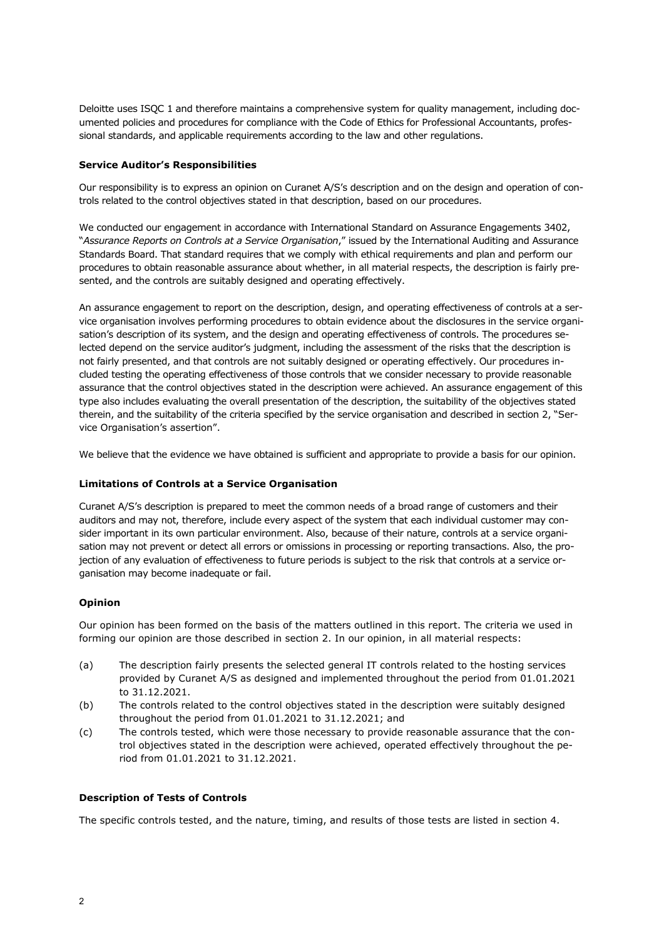Deloitte uses ISQC 1 and therefore maintains a comprehensive system for quality management, including documented policies and procedures for compliance with the Code of Ethics for Professional Accountants, professional standards, and applicable requirements according to the law and other regulations.

# **Service Auditor's Responsibilities**

Our responsibility is to express an opinion on Curanet A/S's description and on the design and operation of controls related to the control objectives stated in that description, based on our procedures.

We conducted our engagement in accordance with International Standard on Assurance Engagements 3402, "*Assurance Reports on Controls at a Service Organisation*," issued by the International Auditing and Assurance Standards Board. That standard requires that we comply with ethical requirements and plan and perform our procedures to obtain reasonable assurance about whether, in all material respects, the description is fairly presented, and the controls are suitably designed and operating effectively.

An assurance engagement to report on the description, design, and operating effectiveness of controls at a service organisation involves performing procedures to obtain evidence about the disclosures in the service organisation's description of its system, and the design and operating effectiveness of controls. The procedures selected depend on the service auditor's judgment, including the assessment of the risks that the description is not fairly presented, and that controls are not suitably designed or operating effectively. Our procedures included testing the operating effectiveness of those controls that we consider necessary to provide reasonable assurance that the control objectives stated in the description were achieved. An assurance engagement of this type also includes evaluating the overall presentation of the description, the suitability of the objectives stated therein, and the suitability of the criteria specified by the service organisation and described in section 2, "Service Organisation's assertion".

We believe that the evidence we have obtained is sufficient and appropriate to provide a basis for our opinion.

# **Limitations of Controls at a Service Organisation**

Curanet A/S's description is prepared to meet the common needs of a broad range of customers and their auditors and may not, therefore, include every aspect of the system that each individual customer may consider important in its own particular environment. Also, because of their nature, controls at a service organisation may not prevent or detect all errors or omissions in processing or reporting transactions. Also, the projection of any evaluation of effectiveness to future periods is subject to the risk that controls at a service organisation may become inadequate or fail.

#### **Opinion**

Our opinion has been formed on the basis of the matters outlined in this report. The criteria we used in forming our opinion are those described in section 2. In our opinion, in all material respects:

- (a) The description fairly presents the selected general IT controls related to the hosting services provided by Curanet A/S as designed and implemented throughout the period from 01.01.2021 to 31.12.2021.
- (b) The controls related to the control objectives stated in the description were suitably designed throughout the period from 01.01.2021 to 31.12.2021; and
- (c) The controls tested, which were those necessary to provide reasonable assurance that the control objectives stated in the description were achieved, operated effectively throughout the period from 01.01.2021 to 31.12.2021.

# **Description of Tests of Controls**

The specific controls tested, and the nature, timing, and results of those tests are listed in section 4.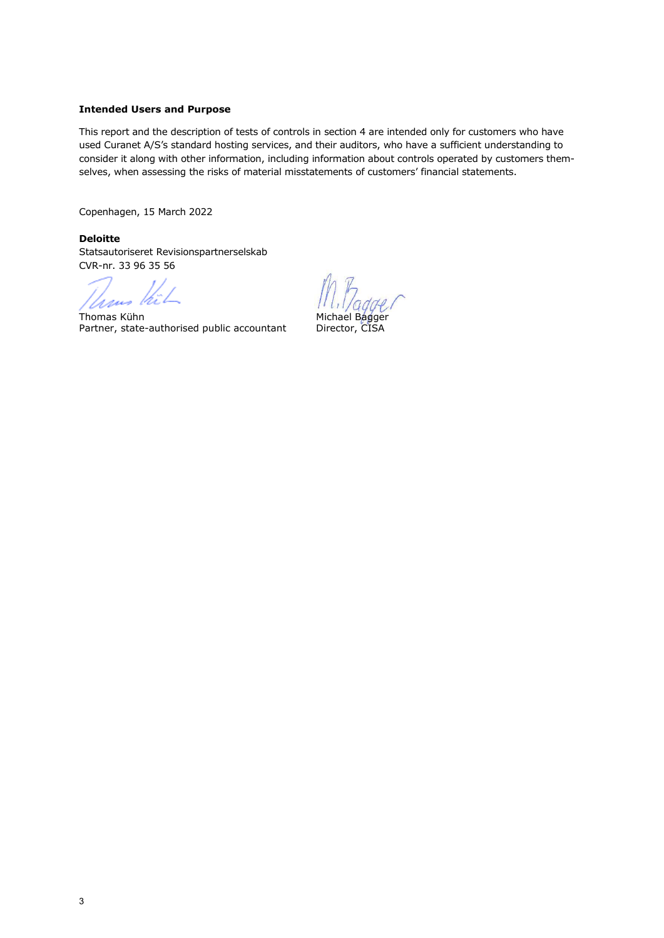# **Intended Users and Purpose**

This report and the description of tests of controls in section 4 are intended only for customers who have used Curanet A/S's standard hosting services, and their auditors, who have a sufficient understanding to consider it along with other information, including information about controls operated by customers themselves, when assessing the risks of material misstatements of customers' financial statements.

Copenhagen, 15 March 2022

**Deloitte** Statsautoriseret Revisionspartnerselskab CVR-nr. 33 96 35 56

Thous this

Thomas Kühn<br>Partner, state-authorised public accountant Director, CISA Partner, state-authorised public accountant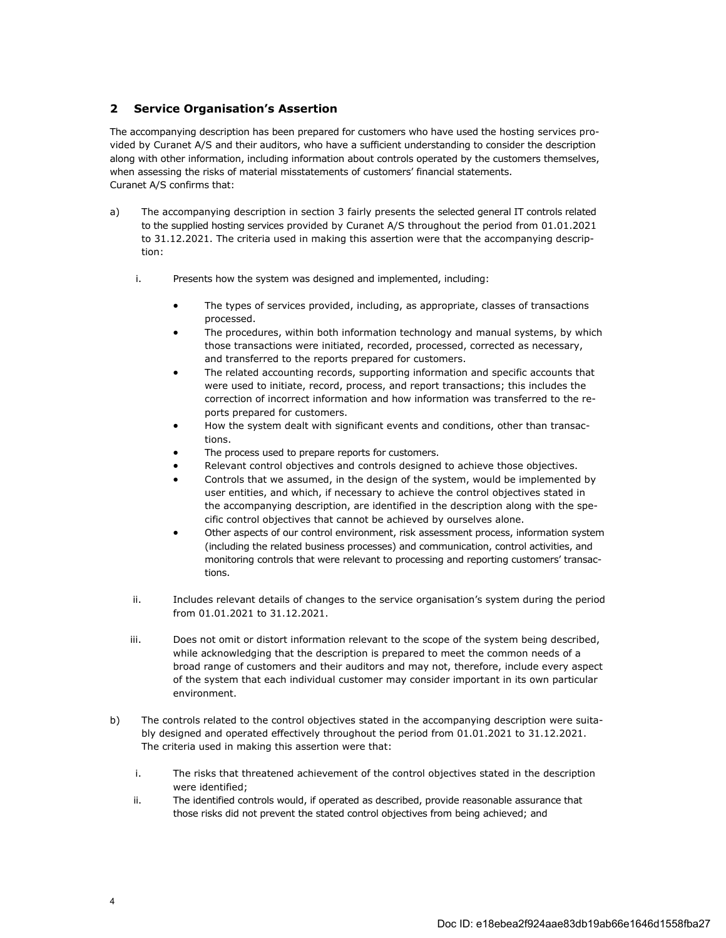# **2 Service Organisations Assertion**

The accompanying description has been prepared for customers who have used the hosting services provided by Curanet A/S and their auditors, who have a sufficient understanding to consider the description along with other information, including information about controls operated by the customers themselves, when assessing the risks of material misstatements of customers' financial statements. Curanet A/S confirms that:

- a) The accompanying description in section 3 fairly presents the selected general IT controls related to the supplied hosting services provided by Curanet A/S throughout the period from 01.01.2021 to 31.12.2021. The criteria used in making this assertion were that the accompanying description:
	- i. Presents how the system was designed and implemented, including:
		- The types of services provided, including, as appropriate, classes of transactions processed.
		- The procedures, within both information technology and manual systems, by which those transactions were initiated, recorded, processed, corrected as necessary, and transferred to the reports prepared for customers.
		- The related accounting records, supporting information and specific accounts that were used to initiate, record, process, and report transactions; this includes the correction of incorrect information and how information was transferred to the reports prepared for customers.
		- How the system dealt with significant events and conditions, other than transactions.
		- The process used to prepare reports for customers.
		- Relevant control objectives and controls designed to achieve those objectives.
		- Controls that we assumed, in the design of the system, would be implemented by user entities, and which, if necessary to achieve the control objectives stated in the accompanying description, are identified in the description along with the specific control objectives that cannot be achieved by ourselves alone.
		- Other aspects of our control environment, risk assessment process, information system (including the related business processes) and communication, control activities, and monitoring controls that were relevant to processing and reporting customers' transactions.
	- ii. Includes relevant details of changes to the service organisation's system during the period from 01.01.2021 to 31.12.2021.
	- iii. Does not omit or distort information relevant to the scope of the system being described, while acknowledging that the description is prepared to meet the common needs of a broad range of customers and their auditors and may not, therefore, include every aspect of the system that each individual customer may consider important in its own particular environment.
- b) The controls related to the control objectives stated in the accompanying description were suitably designed and operated effectively throughout the period from 01.01.2021 to 31.12.2021. The criteria used in making this assertion were that:
	- i. The risks that threatened achievement of the control objectives stated in the description were identified;
	- ii. The identified controls would, if operated as described, provide reasonable assurance that those risks did not prevent the stated control objectives from being achieved; and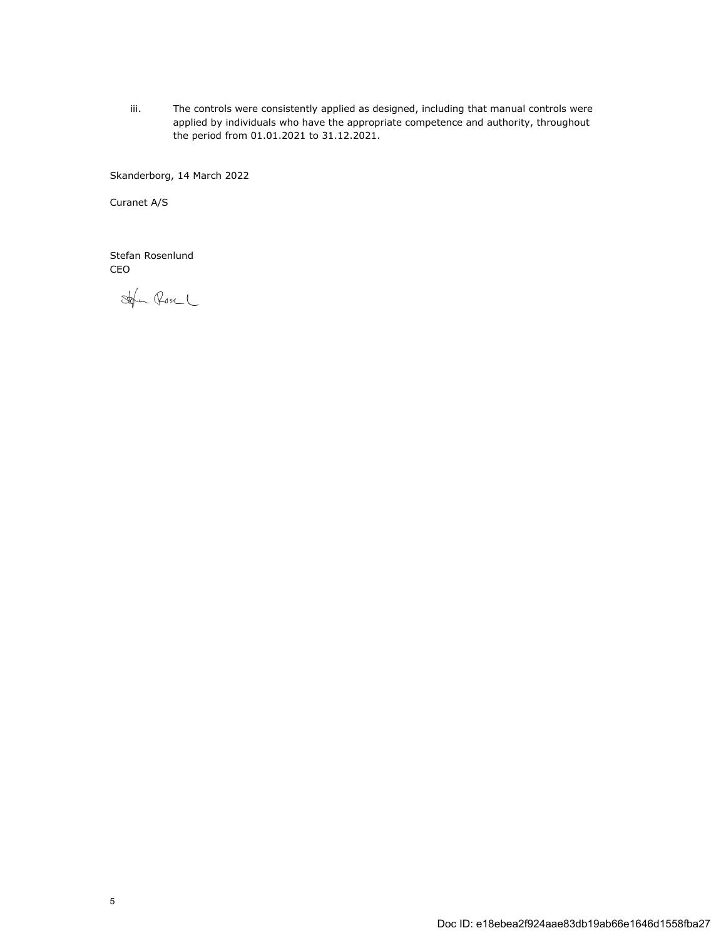iii. The controls were consistently applied as designed, including that manual controls were applied by individuals who have the appropriate competence and authority, throughout the period from 01.01.2021 to 31.12.2021.

Skanderborg, 14 March 2022

Curanet A/S

Stefan Rosenlund CEO

Stofen Rose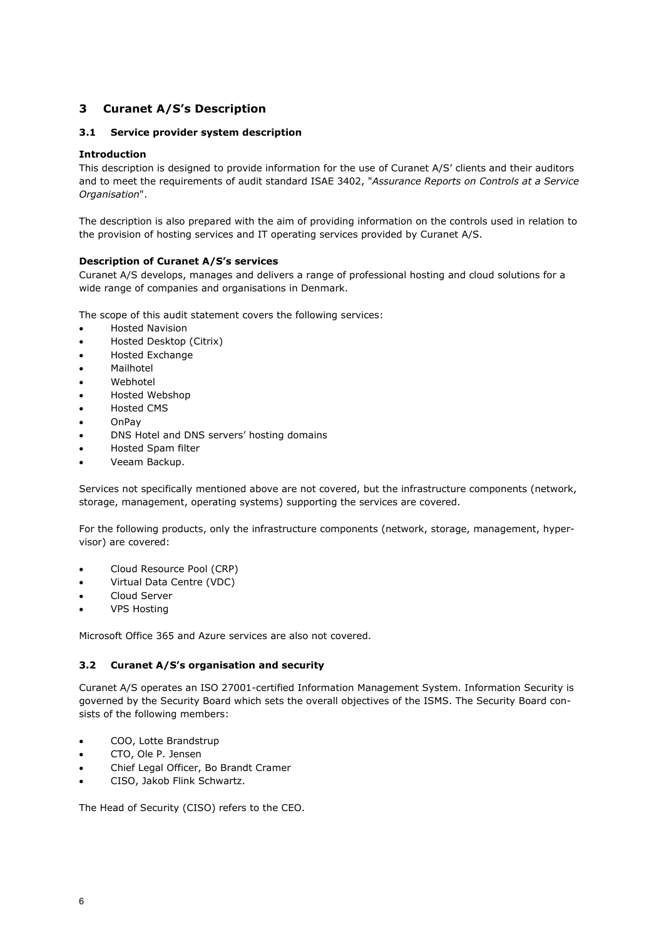# <span id="page-7-0"></span>**3 Curanet A/S's Description**

# **3.1 Service provider system description**

# **Introduction**

This description is designed to provide information for the use of Curanet A/S' clients and their auditors and to meet the requirements of audit standard ISAE 3402, "*Assurance Reports on Controls at a Service Organisation*".

The description is also prepared with the aim of providing information on the controls used in relation to the provision of hosting services and IT operating services provided by Curanet A/S.

# **Description of Curanet A/S's services**

Curanet A/S develops, manages and delivers a range of professional hosting and cloud solutions for a wide range of companies and organisations in Denmark.

The scope of this audit statement covers the following services:

- Hosted Navision
- Hosted Desktop (Citrix)
- Hosted Exchange
- Mailhotel
- Webhotel
- Hosted Webshop
- Hosted CMS
- OnPay
- DNS Hotel and DNS servers' hosting domains
- Hosted Spam filter
- Veeam Backup.

Services not specifically mentioned above are not covered, but the infrastructure components (network, storage, management, operating systems) supporting the services are covered.

For the following products, only the infrastructure components (network, storage, management, hypervisor) are covered:

- Cloud Resource Pool (CRP)
- Virtual Data Centre (VDC)
- Cloud Server
- VPS Hosting

Microsoft Office 365 and Azure services are also not covered.

# **3.2 Curanet A/S's organisation and security**

Curanet A/S operates an ISO 27001-certified Information Management System. Information Security is governed by the Security Board which sets the overall objectives of the ISMS. The Security Board consists of the following members:

- COO, Lotte Brandstrup
- CTO, Ole P. Jensen
- Chief Legal Officer, Bo Brandt Cramer
- CISO, Jakob Flink Schwartz.

The Head of Security (CISO) refers to the CEO.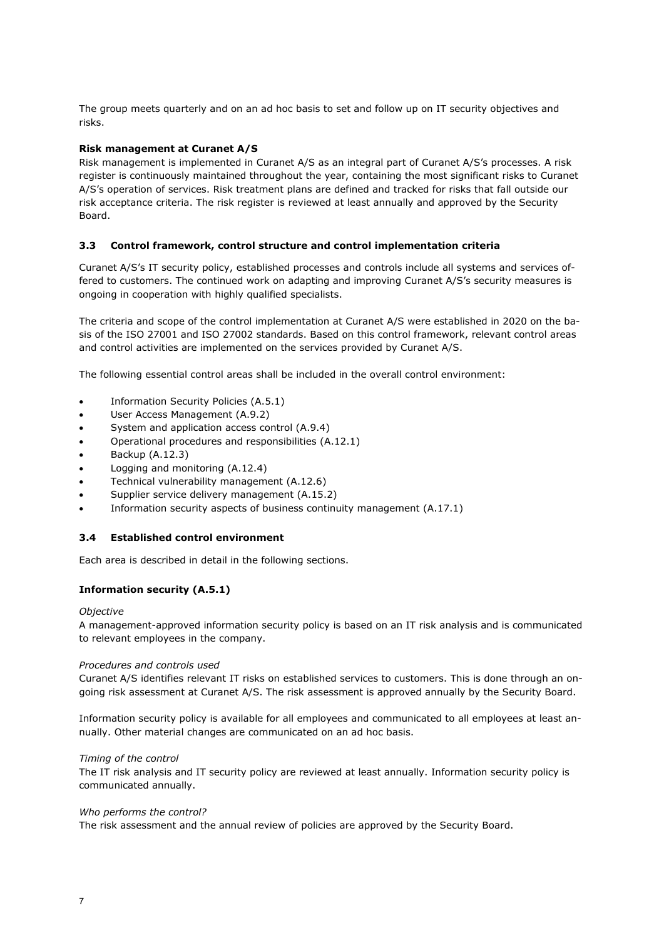The group meets quarterly and on an ad hoc basis to set and follow up on IT security objectives and risks.

# **Risk management at Curanet A/S**

Risk management is implemented in Curanet A/S as an integral part of Curanet A/S's processes. A risk register is continuously maintained throughout the year, containing the most significant risks to Curanet A/S's operation of services. Risk treatment plans are defined and tracked for risks that fall outside our risk acceptance criteria. The risk register is reviewed at least annually and approved by the Security Board.

#### **3.3 Control framework, control structure and control implementation criteria**

Curanet A/S's IT security policy, established processes and controls include all systems and services offered to customers. The continued work on adapting and improving Curanet A/S's security measures is ongoing in cooperation with highly qualified specialists.

The criteria and scope of the control implementation at Curanet A/S were established in 2020 on the basis of the ISO 27001 and ISO 27002 standards. Based on this control framework, relevant control areas and control activities are implemented on the services provided by Curanet A/S.

The following essential control areas shall be included in the overall control environment:

- Information Security Policies (A.5.1)
- User Access Management (A.9.2)
- System and application access control (A.9.4)
- Operational procedures and responsibilities (A.12.1)
- Backup (A.12.3)
- Logging and monitoring (A.12.4)
- Technical vulnerability management (A.12.6)
- Supplier service delivery management (A.15.2)
- Information security aspects of business continuity management (A.17.1)

#### **3.4 Established control environment**

Each area is described in detail in the following sections.

# **Information security (A.5.1)**

#### *Objective*

A management-approved information security policy is based on an IT risk analysis and is communicated to relevant employees in the company.

#### *Procedures and controls used*

Curanet A/S identifies relevant IT risks on established services to customers. This is done through an ongoing risk assessment at Curanet A/S. The risk assessment is approved annually by the Security Board.

Information security policy is available for all employees and communicated to all employees at least annually. Other material changes are communicated on an ad hoc basis.

#### *Timing of the control*

The IT risk analysis and IT security policy are reviewed at least annually. Information security policy is communicated annually.

#### *Who performs the control?*

The risk assessment and the annual review of policies are approved by the Security Board.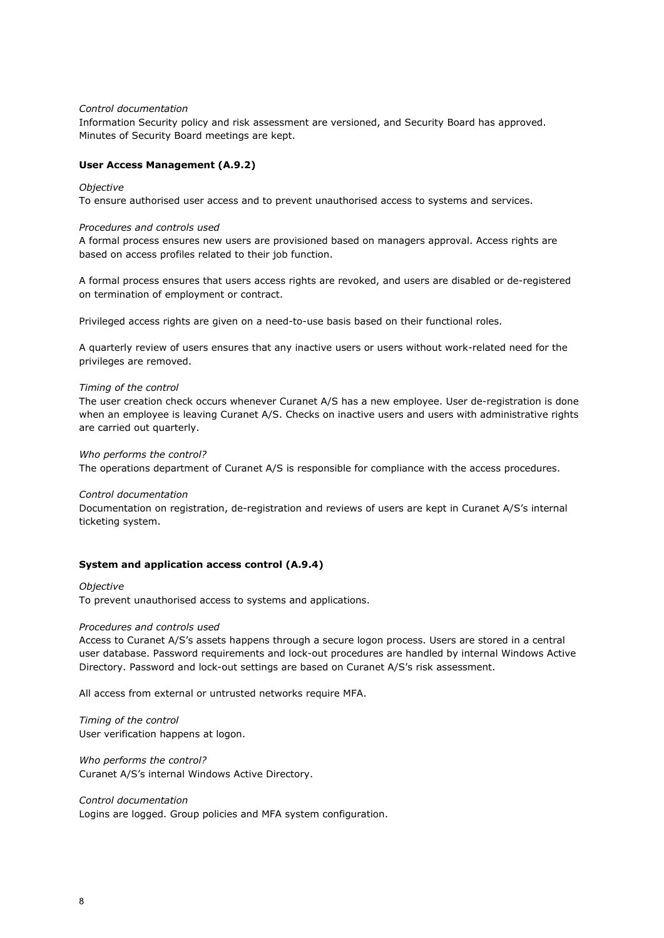#### *Control documentation*

Information Security policy and risk assessment are versioned, and Security Board has approved. Minutes of Security Board meetings are kept.

#### **User Access Management (A.9.2)**

## *Objective*

To ensure authorised user access and to prevent unauthorised access to systems and services.

#### *Procedures and controls used*

A formal process ensures new users are provisioned based on managers approval. Access rights are based on access profiles related to their job function.

A formal process ensures that users access rights are revoked, and users are disabled or de-registered on termination of employment or contract.

Privileged access rights are given on a need-to-use basis based on their functional roles.

A quarterly review of users ensures that any inactive users or users without work-related need for the privileges are removed.

#### *Timing of the control*

The user creation check occurs whenever Curanet A/S has a new employee. User de-registration is done when an employee is leaving Curanet A/S. Checks on inactive users and users with administrative rights are carried out quarterly.

#### *Who performs the control?*

The operations department of Curanet A/S is responsible for compliance with the access procedures.

#### *Control documentation*

Documentation on registration, de-registration and reviews of users are kept in Curanet A/S's internal ticketing system.

#### **System and application access control (A.9.4)**

#### *Objective*

To prevent unauthorised access to systems and applications.

#### *Procedures and controls used*

Access to Curanet A/S's assets happens through a secure logon process. Users are stored in a central user database. Password requirements and lock-out procedures are handled by internal Windows Active Directory. Password and lock-out settings are based on Curanet A/S's risk assessment.

All access from external or untrusted networks require MFA.

*Timing of the control* User verification happens at logon.

*Who performs the control?* Curanet A/S's internal Windows Active Directory.

*Control documentation* Logins are logged. Group policies and MFA system configuration.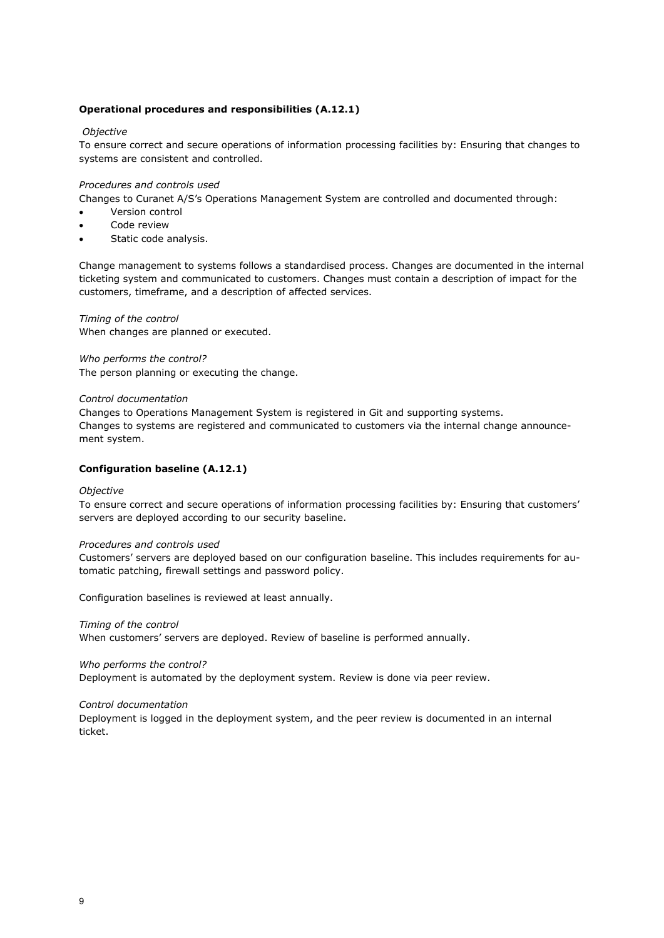# **Operational procedures and responsibilities (A.12.1)**

# *Objective*

To ensure correct and secure operations of information processing facilities by: Ensuring that changes to systems are consistent and controlled.

## *Procedures and controls used*

Changes to Curanet A/S's Operations Management System are controlled and documented through:

- Version control
- Code review
- Static code analysis.

Change management to systems follows a standardised process. Changes are documented in the internal ticketing system and communicated to customers. Changes must contain a description of impact for the customers, timeframe, and a description of affected services.

*Timing of the control* When changes are planned or executed.

*Who performs the control?*

The person planning or executing the change.

#### *Control documentation*

Changes to Operations Management System is registered in Git and supporting systems. Changes to systems are registered and communicated to customers via the internal change announcement system.

# **Configuration baseline (A.12.1)**

#### *Objective*

To ensure correct and secure operations of information processing facilities by: Ensuring that customers' servers are deployed according to our security baseline.

#### *Procedures and controls used*

Customers' servers are deployed based on our configuration baseline. This includes requirements for automatic patching, firewall settings and password policy.

Configuration baselines is reviewed at least annually.

*Timing of the control*

When customers' servers are deployed. Review of baseline is performed annually.

#### *Who performs the control?*

Deployment is automated by the deployment system. Review is done via peer review.

#### *Control documentation*

Deployment is logged in the deployment system, and the peer review is documented in an internal ticket.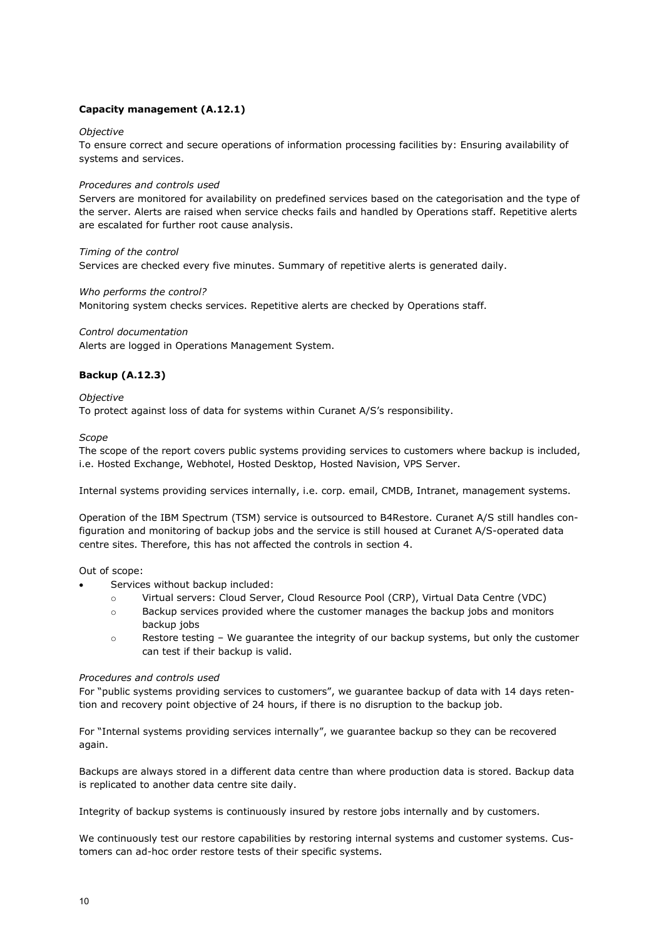# **Capacity management (A.12.1)**

# *Objective*

To ensure correct and secure operations of information processing facilities by: Ensuring availability of systems and services.

## *Procedures and controls used*

Servers are monitored for availability on predefined services based on the categorisation and the type of the server. Alerts are raised when service checks fails and handled by Operations staff. Repetitive alerts are escalated for further root cause analysis.

# *Timing of the control*

Services are checked every five minutes. Summary of repetitive alerts is generated daily.

# *Who performs the control?*

Monitoring system checks services. Repetitive alerts are checked by Operations staff.

# *Control documentation* Alerts are logged in Operations Management System.

# **Backup (A.12.3)**

# *Objective*

To protect against loss of data for systems within Curanet A/S's responsibility.

#### *Scope*

The scope of the report covers public systems providing services to customers where backup is included, i.e. Hosted Exchange, Webhotel, Hosted Desktop, Hosted Navision, VPS Server.

Internal systems providing services internally, i.e. corp. email, CMDB, Intranet, management systems.

Operation of the IBM Spectrum (TSM) service is outsourced to B4Restore. Curanet A/S still handles configuration and monitoring of backup jobs and the service is still housed at Curanet A/S-operated data centre sites. Therefore, this has not affected the controls in section 4.

#### Out of scope:

- Services without backup included:
	- o Virtual servers: Cloud Server, Cloud Resource Pool (CRP), Virtual Data Centre (VDC)
	- $\circ$  Backup services provided where the customer manages the backup jobs and monitors backup jobs
	- o Restore testing We guarantee the integrity of our backup systems, but only the customer can test if their backup is valid.

#### *Procedures and controls used*

For "public systems providing services to customers", we guarantee backup of data with 14 days retention and recovery point objective of 24 hours, if there is no disruption to the backup job.

For "Internal systems providing services internally", we guarantee backup so they can be recovered again.

Backups are always stored in a different data centre than where production data is stored. Backup data is replicated to another data centre site daily.

Integrity of backup systems is continuously insured by restore jobs internally and by customers.

We continuously test our restore capabilities by restoring internal systems and customer systems. Customers can ad-hoc order restore tests of their specific systems.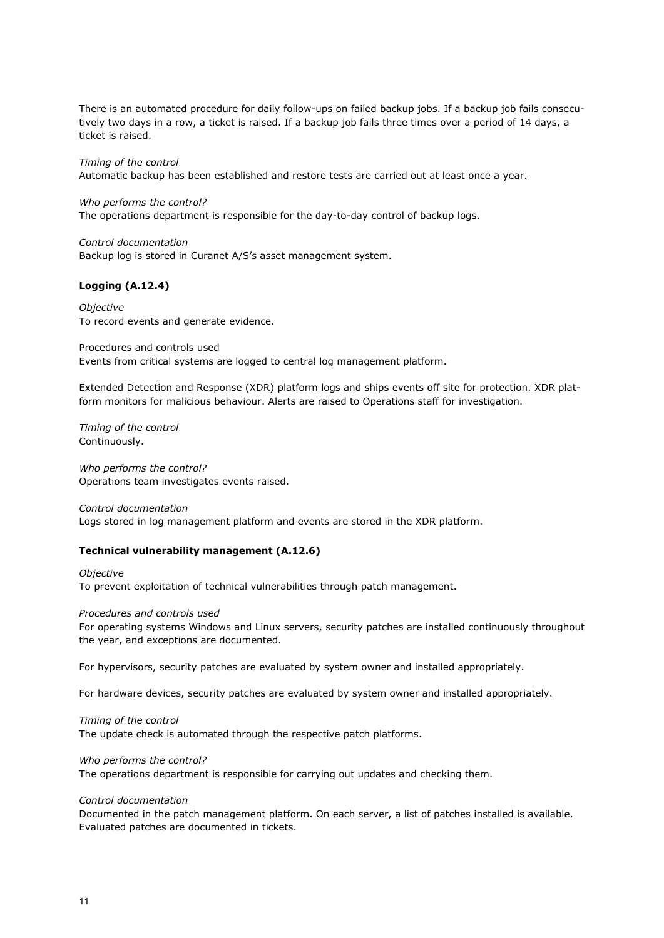There is an automated procedure for daily follow-ups on failed backup jobs. If a backup job fails consecutively two days in a row, a ticket is raised. If a backup job fails three times over a period of 14 days, a ticket is raised.

# *Timing of the control*

Automatic backup has been established and restore tests are carried out at least once a year.

#### *Who performs the control?*

The operations department is responsible for the day-to-day control of backup logs.

# *Control documentation*

Backup log is stored in Curanet A/S's asset management system.

# **Logging (A.12.4)**

*Objective* To record events and generate evidence.

Procedures and controls used Events from critical systems are logged to central log management platform.

Extended Detection and Response (XDR) platform logs and ships events off site for protection. XDR platform monitors for malicious behaviour. Alerts are raised to Operations staff for investigation.

*Timing of the control* Continuously.

*Who performs the control?* Operations team investigates events raised.

*Control documentation* Logs stored in log management platform and events are stored in the XDR platform.

#### **Technical vulnerability management (A.12.6)**

*Objective* To prevent exploitation of technical vulnerabilities through patch management.

## *Procedures and controls used*

For operating systems Windows and Linux servers, security patches are installed continuously throughout the year, and exceptions are documented.

For hypervisors, security patches are evaluated by system owner and installed appropriately.

For hardware devices, security patches are evaluated by system owner and installed appropriately.

*Timing of the control* The update check is automated through the respective patch platforms.

## *Who performs the control?*

The operations department is responsible for carrying out updates and checking them.

#### *Control documentation*

Documented in the patch management platform. On each server, a list of patches installed is available. Evaluated patches are documented in tickets.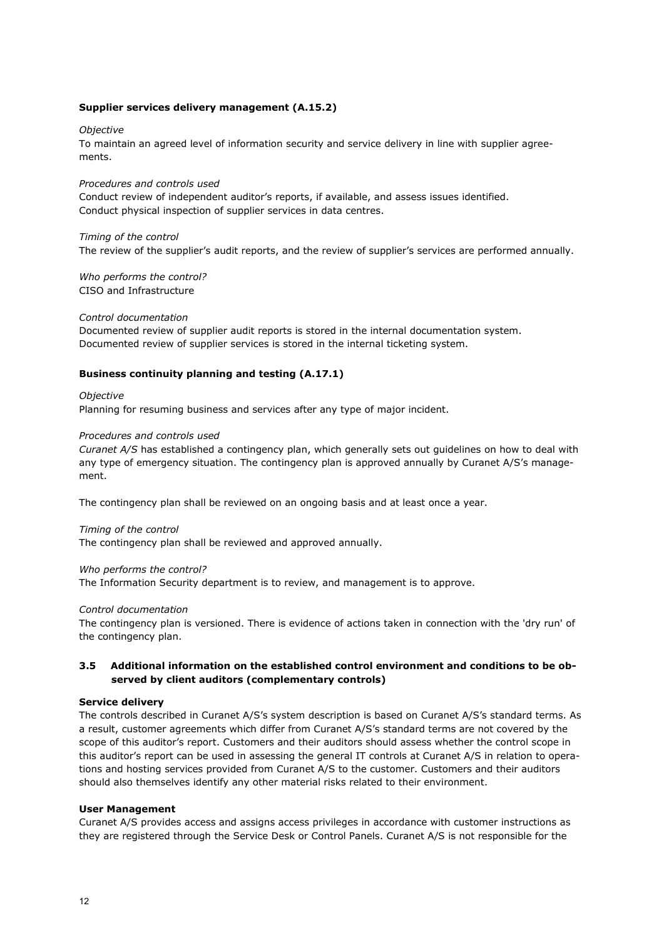# **Supplier services delivery management (A.15.2)**

#### *Objective*

To maintain an agreed level of information security and service delivery in line with supplier agreements.

#### *Procedures and controls used*

Conduct review of independent auditor's reports, if available, and assess issues identified. Conduct physical inspection of supplier services in data centres.

#### *Timing of the control*

The review of the supplier's audit reports, and the review of supplier's services are performed annually.

*Who performs the control?* CISO and Infrastructure

#### *Control documentation*

Documented review of supplier audit reports is stored in the internal documentation system. Documented review of supplier services is stored in the internal ticketing system.

#### **Business continuity planning and testing (A.17.1)**

#### *Objective*

Planning for resuming business and services after any type of major incident.

## *Procedures and controls used*

*Curanet A/S* has established a contingency plan, which generally sets out guidelines on how to deal with any type of emergency situation. The contingency plan is approved annually by Curanet A/S's management.

The contingency plan shall be reviewed on an ongoing basis and at least once a year.

#### *Timing of the control*

The contingency plan shall be reviewed and approved annually.

#### *Who performs the control?*

The Information Security department is to review, and management is to approve.

#### *Control documentation*

The contingency plan is versioned. There is evidence of actions taken in connection with the 'dry run' of the contingency plan.

# **3.5 Additional information on the established control environment and conditions to be observed by client auditors (complementary controls)**

#### **Service delivery**

The controls described in Curanet A/S's system description is based on Curanet A/S's standard terms. As a result, customer agreements which differ from Curanet A/S's standard terms are not covered by the scope of this auditor's report. Customers and their auditors should assess whether the control scope in this auditor's report can be used in assessing the general IT controls at Curanet A/S in relation to operations and hosting services provided from Curanet A/S to the customer. Customers and their auditors should also themselves identify any other material risks related to their environment.

## **User Management**

Curanet A/S provides access and assigns access privileges in accordance with customer instructions as they are registered through the Service Desk or Control Panels. Curanet A/S is not responsible for the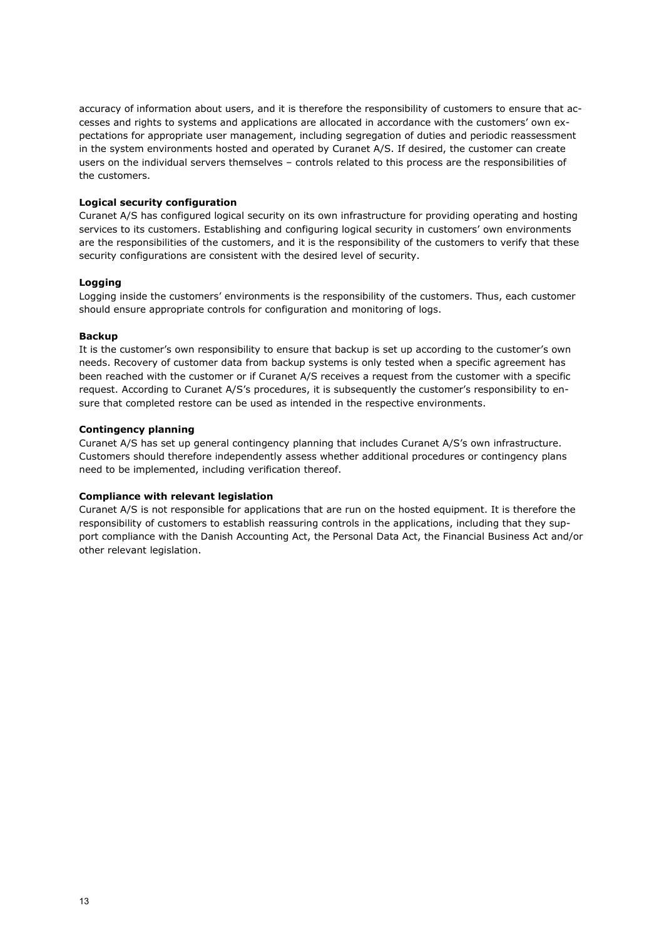accuracy of information about users, and it is therefore the responsibility of customers to ensure that accesses and rights to systems and applications are allocated in accordance with the customers' own expectations for appropriate user management, including segregation of duties and periodic reassessment in the system environments hosted and operated by Curanet A/S. If desired, the customer can create users on the individual servers themselves – controls related to this process are the responsibilities of the customers.

# **Logical security configuration**

Curanet A/S has configured logical security on its own infrastructure for providing operating and hosting services to its customers. Establishing and configuring logical security in customers' own environments are the responsibilities of the customers, and it is the responsibility of the customers to verify that these security configurations are consistent with the desired level of security.

# **Logging**

Logging inside the customers' environments is the responsibility of the customers. Thus, each customer should ensure appropriate controls for configuration and monitoring of logs.

#### **Backup**

It is the customer's own responsibility to ensure that backup is set up according to the customer's own needs. Recovery of customer data from backup systems is only tested when a specific agreement has been reached with the customer or if Curanet A/S receives a request from the customer with a specific request. According to Curanet A/S's procedures, it is subsequently the customer's responsibility to ensure that completed restore can be used as intended in the respective environments.

# **Contingency planning**

Curanet A/S has set up general contingency planning that includes Curanet A/S's own infrastructure. Customers should therefore independently assess whether additional procedures or contingency plans need to be implemented, including verification thereof.

# **Compliance with relevant legislation**

Curanet A/S is not responsible for applications that are run on the hosted equipment. It is therefore the responsibility of customers to establish reassuring controls in the applications, including that they support compliance with the Danish Accounting Act, the Personal Data Act, the Financial Business Act and/or other relevant legislation.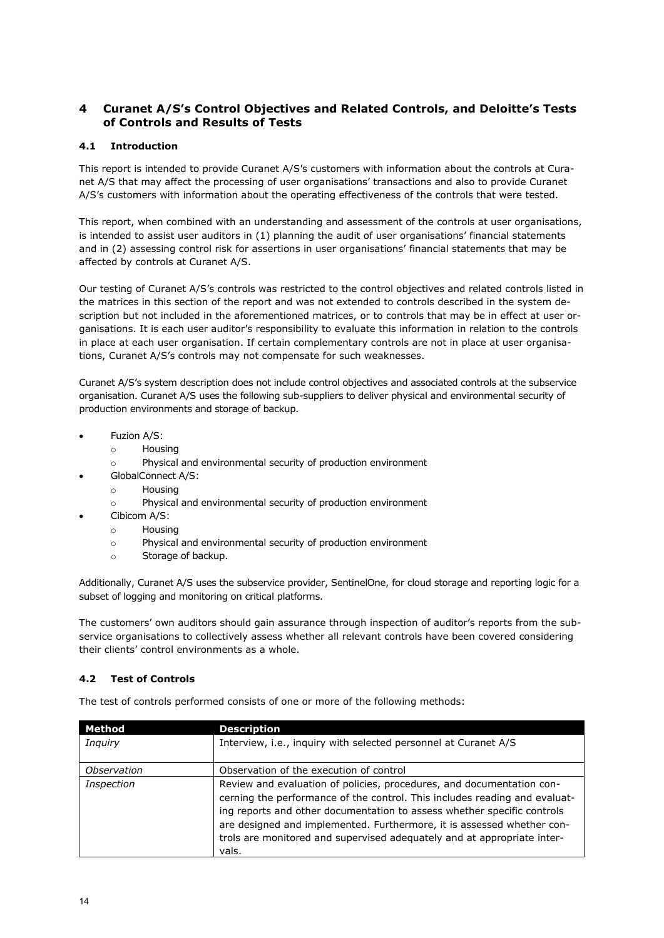# <span id="page-15-0"></span>**4 Curanet A/S's Control Objectives and Related Controls, and Deloitte's Tests of Controls and Results of Tests**

# **4.1 Introduction**

This report is intended to provide Curanet A/S's customers with information about the controls at Curanet A/S that may affect the processing of user organisations' transactions and also to provide Curanet A/S's customers with information about the operating effectiveness of the controls that were tested.

This report, when combined with an understanding and assessment of the controls at user organisations, is intended to assist user auditors in (1) planning the audit of user organisations' financial statements and in (2) assessing control risk for assertions in user organisations' financial statements that may be affected by controls at Curanet A/S.

Our testing of Curanet A/S's controls was restricted to the control objectives and related controls listed in the matrices in this section of the report and was not extended to controls described in the system description but not included in the aforementioned matrices, or to controls that may be in effect at user organisations. It is each user auditor's responsibility to evaluate this information in relation to the controls in place at each user organisation. If certain complementary controls are not in place at user organisations, Curanet A/S's controls may not compensate for such weaknesses.

Curanet A/S's system description does not include control objectives and associated controls at the subservice organisation. Curanet A/S uses the following sub-suppliers to deliver physical and environmental security of production environments and storage of backup.

- Fuzion A/S:
	- o Housing
	- o Physical and environmental security of production environment
- GlobalConnect A/S:
	- o Housing
	- o Physical and environmental security of production environment
- Cibicom A/S:
	- $\circ$  Housing
	- o Physical and environmental security of production environment
	- o Storage of backup.

Additionally, Curanet A/S uses the subservice provider, SentinelOne, for cloud storage and reporting logic for a subset of logging and monitoring on critical platforms.

The customers' own auditors should gain assurance through inspection of auditor's reports from the subservice organisations to collectively assess whether all relevant controls have been covered considering their clients' control environments as a whole.

# **4.2 Test of Controls**

The test of controls performed consists of one or more of the following methods:

| Method         | <b>Description</b>                                                                                                                                                                                                                                                                                                                                                                           |
|----------------|----------------------------------------------------------------------------------------------------------------------------------------------------------------------------------------------------------------------------------------------------------------------------------------------------------------------------------------------------------------------------------------------|
| <b>Inquiry</b> | Interview, i.e., inquiry with selected personnel at Curanet A/S                                                                                                                                                                                                                                                                                                                              |
| Observation    | Observation of the execution of control                                                                                                                                                                                                                                                                                                                                                      |
| Inspection     | Review and evaluation of policies, procedures, and documentation con-<br>cerning the performance of the control. This includes reading and evaluat-<br>ing reports and other documentation to assess whether specific controls<br>are designed and implemented. Furthermore, it is assessed whether con-<br>trols are monitored and supervised adequately and at appropriate inter-<br>vals. |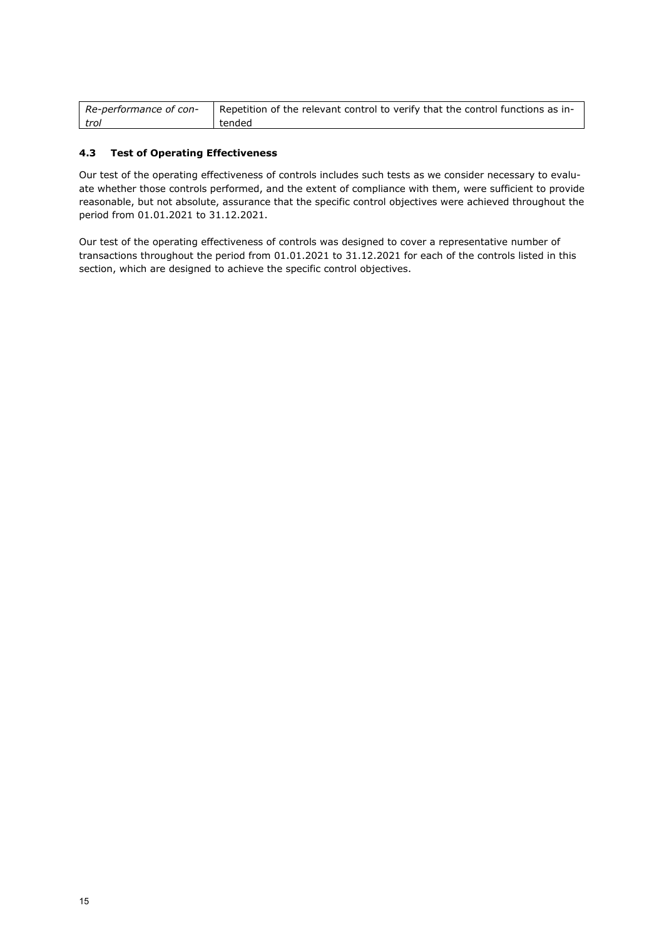| Re-performance of con- | Repetition of the relevant control to verify that the control functions as in- |
|------------------------|--------------------------------------------------------------------------------|
| trol                   | tended                                                                         |

# **4.3 Test of Operating Effectiveness**

Our test of the operating effectiveness of controls includes such tests as we consider necessary to evaluate whether those controls performed, and the extent of compliance with them, were sufficient to provide reasonable, but not absolute, assurance that the specific control objectives were achieved throughout the period from 01.01.2021 to 31.12.2021.

Our test of the operating effectiveness of controls was designed to cover a representative number of transactions throughout the period from 01.01.2021 to 31.12.2021 for each of the controls listed in this section, which are designed to achieve the specific control objectives.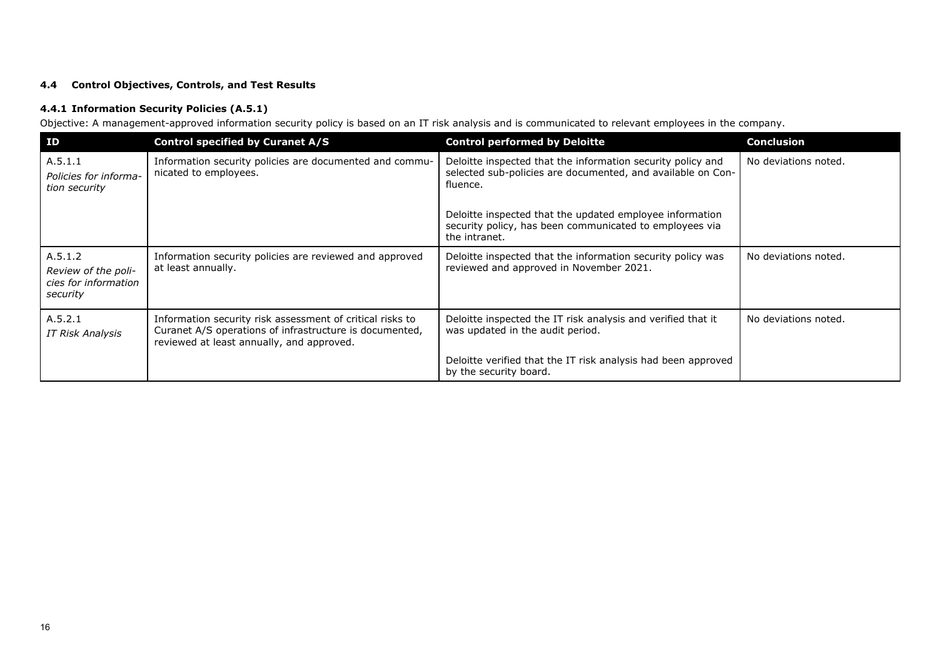# **4.4 Control Objectives, Controls, and Test Results**

# **4.4.1 Information Security Policies (A.5.1)**

Objective: A management-approved information security policy is based on an IT risk analysis and is communicated to relevant employees in the company.

| ID                                                                 | <b>Control specified by Curanet A/S</b>                                                                                                                           | <b>Control performed by Deloitte</b>                                                                                                   | <b>Conclusion</b>    |
|--------------------------------------------------------------------|-------------------------------------------------------------------------------------------------------------------------------------------------------------------|----------------------------------------------------------------------------------------------------------------------------------------|----------------------|
| A.5.1.1<br>Policies for informa-<br>tion security                  | Information security policies are documented and commu-<br>nicated to employees.                                                                                  | Deloitte inspected that the information security policy and<br>selected sub-policies are documented, and available on Con-<br>fluence. | No deviations noted. |
|                                                                    |                                                                                                                                                                   | Deloitte inspected that the updated employee information<br>security policy, has been communicated to employees via<br>the intranet.   |                      |
| A.5.1.2<br>Review of the poli-<br>cies for information<br>security | Information security policies are reviewed and approved<br>at least annually.                                                                                     | Deloitte inspected that the information security policy was<br>reviewed and approved in November 2021.                                 | No deviations noted. |
| A.5.2.1<br>IT Risk Analysis                                        | Information security risk assessment of critical risks to<br>Curanet A/S operations of infrastructure is documented,<br>reviewed at least annually, and approved. | Deloitte inspected the IT risk analysis and verified that it<br>was updated in the audit period.                                       | No deviations noted. |
|                                                                    |                                                                                                                                                                   | Deloitte verified that the IT risk analysis had been approved<br>by the security board.                                                |                      |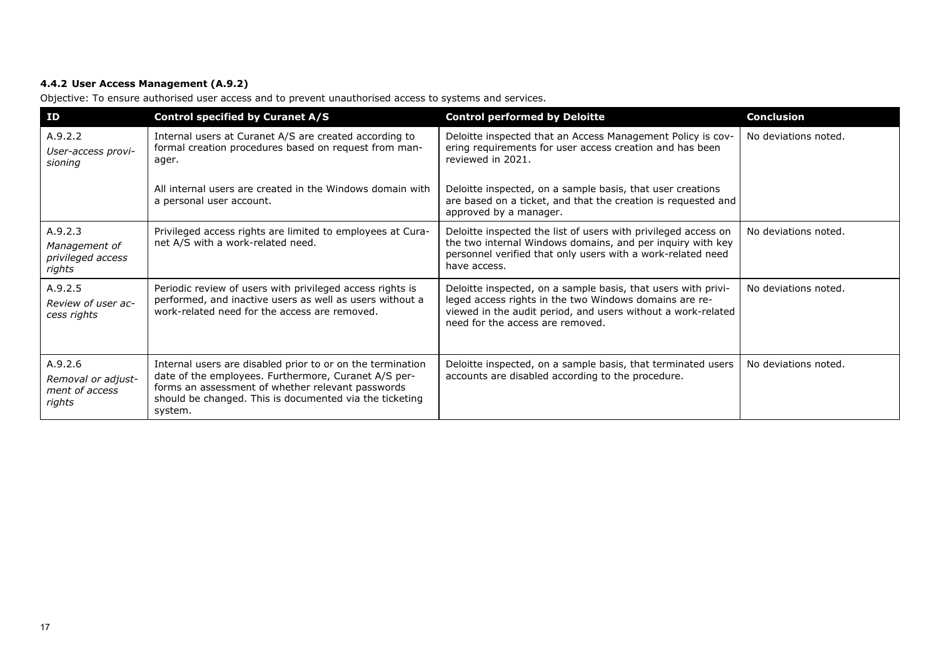# **4.4.2 User Access Management (A.9.2)**

Objective: To ensure authorised user access and to prevent unauthorised access to systems and services.

| ID                                                        | <b>Control specified by Curanet A/S</b>                                                                                                                                                                                                       | <b>Control performed by Deloitte</b>                                                                                                                                                                                        | <b>Conclusion</b>    |
|-----------------------------------------------------------|-----------------------------------------------------------------------------------------------------------------------------------------------------------------------------------------------------------------------------------------------|-----------------------------------------------------------------------------------------------------------------------------------------------------------------------------------------------------------------------------|----------------------|
| A.9.2.2<br>User-access provi-<br>sioning                  | Internal users at Curanet A/S are created according to<br>formal creation procedures based on request from man-<br>ager.                                                                                                                      | Deloitte inspected that an Access Management Policy is cov-<br>ering requirements for user access creation and has been<br>reviewed in 2021.                                                                                | No deviations noted. |
|                                                           | All internal users are created in the Windows domain with<br>a personal user account.                                                                                                                                                         | Deloitte inspected, on a sample basis, that user creations<br>are based on a ticket, and that the creation is requested and<br>approved by a manager.                                                                       |                      |
| A.9.2.3<br>Management of<br>privileged access<br>rights   | Privileged access rights are limited to employees at Cura-<br>net A/S with a work-related need.                                                                                                                                               | Deloitte inspected the list of users with privileged access on<br>the two internal Windows domains, and per inquiry with key<br>personnel verified that only users with a work-related need<br>have access.                 | No deviations noted. |
| A.9.2.5<br>Review of user ac-<br>cess rights              | Periodic review of users with privileged access rights is<br>performed, and inactive users as well as users without a<br>work-related need for the access are removed.                                                                        | Deloitte inspected, on a sample basis, that users with privi-<br>leged access rights in the two Windows domains are re-<br>viewed in the audit period, and users without a work-related<br>need for the access are removed. | No deviations noted. |
| A.9.2.6<br>Removal or adjust-<br>ment of access<br>rights | Internal users are disabled prior to or on the termination<br>date of the employees. Furthermore, Curanet A/S per-<br>forms an assessment of whether relevant passwords<br>should be changed. This is documented via the ticketing<br>system. | Deloitte inspected, on a sample basis, that terminated users<br>accounts are disabled according to the procedure.                                                                                                           | No deviations noted. |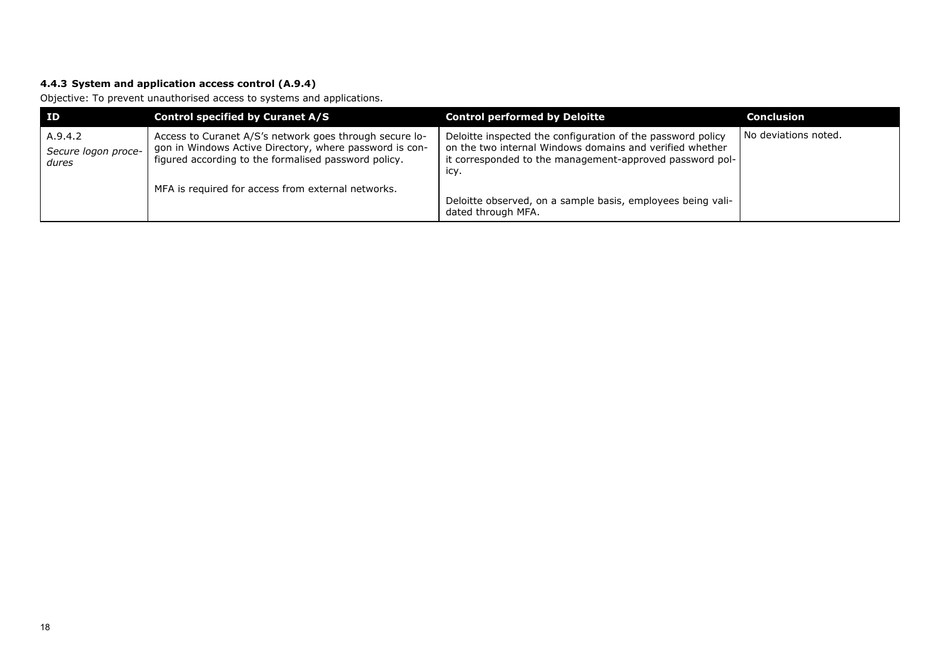# **4.4.3 System and application access control (A.9.4)**

Objective: To prevent unauthorised access to systems and applications.

| ID                                      | <b>Control specified by Curanet A/S</b>                                                                                                                                    | <b>Control performed by Deloitte</b>                                                                                                                                                        | <b>Conclusion</b>    |
|-----------------------------------------|----------------------------------------------------------------------------------------------------------------------------------------------------------------------------|---------------------------------------------------------------------------------------------------------------------------------------------------------------------------------------------|----------------------|
| A.9.4.2<br>Secure logon proce-<br>dures | Access to Curanet A/S's network goes through secure lo-<br>gon in Windows Active Directory, where password is con-<br>figured according to the formalised password policy. | Deloitte inspected the configuration of the password policy<br>on the two internal Windows domains and verified whether<br>it corresponded to the management-approved password pol-<br>icy. | No deviations noted. |
|                                         | MFA is required for access from external networks.                                                                                                                         | Deloitte observed, on a sample basis, employees being vali-<br>dated through MFA.                                                                                                           |                      |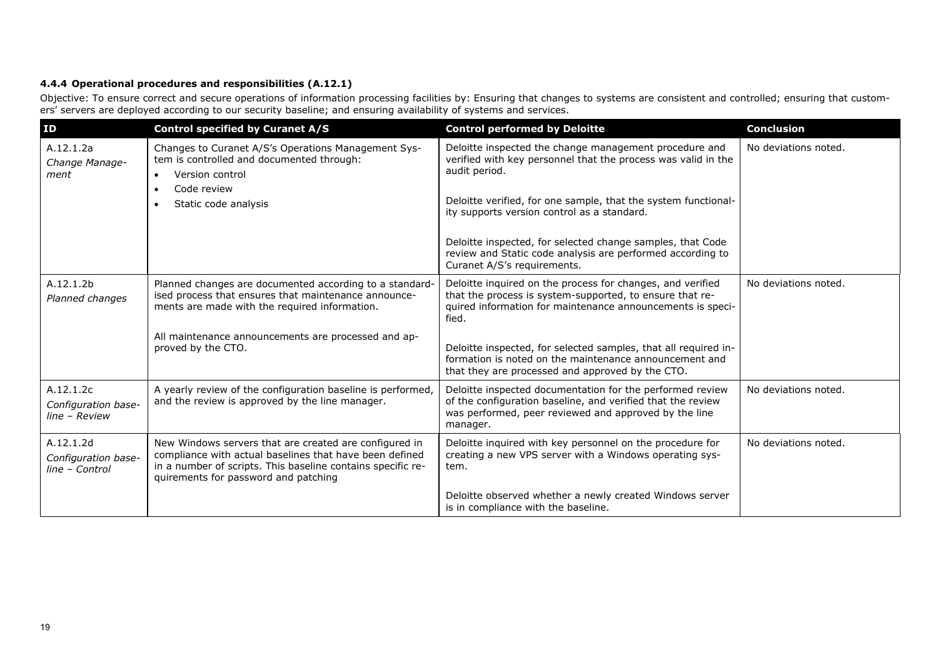# **4.4.4 Operational procedures and responsibilities (A.12.1)**

Objective: To ensure correct and secure operations of information processing facilities by: Ensuring that changes to systems are consistent and controlled; ensuring that customers' servers are deployed according to our security baseline; and ensuring availability of systems and services.

| ID                                                 | <b>Control specified by Curanet A/S</b>                                                                                                                                                                                  | <b>Control performed by Deloitte</b>                                                                                                                                                          | <b>Conclusion</b>    |
|----------------------------------------------------|--------------------------------------------------------------------------------------------------------------------------------------------------------------------------------------------------------------------------|-----------------------------------------------------------------------------------------------------------------------------------------------------------------------------------------------|----------------------|
| A.12.1.2a<br>Change Manage-<br>ment                | Changes to Curanet A/S's Operations Management Sys-<br>tem is controlled and documented through:<br>Version control<br>$\bullet$<br>Code review<br>$\bullet$                                                             | Deloitte inspected the change management procedure and<br>verified with key personnel that the process was valid in the<br>audit period.                                                      | No deviations noted. |
|                                                    | Static code analysis                                                                                                                                                                                                     | Deloitte verified, for one sample, that the system functional-<br>ity supports version control as a standard.                                                                                 |                      |
|                                                    |                                                                                                                                                                                                                          | Deloitte inspected, for selected change samples, that Code<br>review and Static code analysis are performed according to<br>Curanet A/S's requirements.                                       |                      |
| A.12.1.2b<br>Planned changes                       | Planned changes are documented according to a standard-<br>ised process that ensures that maintenance announce-<br>ments are made with the required information.                                                         | Deloitte inquired on the process for changes, and verified<br>that the process is system-supported, to ensure that re-<br>quired information for maintenance announcements is speci-<br>fied. | No deviations noted. |
|                                                    | All maintenance announcements are processed and ap-<br>proved by the CTO.                                                                                                                                                | Deloitte inspected, for selected samples, that all required in-<br>formation is noted on the maintenance announcement and<br>that they are processed and approved by the CTO.                 |                      |
| A.12.1.2c<br>Configuration base-<br>line - Review  | A yearly review of the configuration baseline is performed,<br>and the review is approved by the line manager.                                                                                                           | Deloitte inspected documentation for the performed review<br>of the configuration baseline, and verified that the review<br>was performed, peer reviewed and approved by the line<br>manager. | No deviations noted. |
| A.12.1.2d<br>Configuration base-<br>line - Control | New Windows servers that are created are configured in<br>compliance with actual baselines that have been defined<br>in a number of scripts. This baseline contains specific re-<br>quirements for password and patching | Deloitte inquired with key personnel on the procedure for<br>creating a new VPS server with a Windows operating sys-<br>tem.                                                                  | No deviations noted. |
|                                                    |                                                                                                                                                                                                                          | Deloitte observed whether a newly created Windows server<br>is in compliance with the baseline.                                                                                               |                      |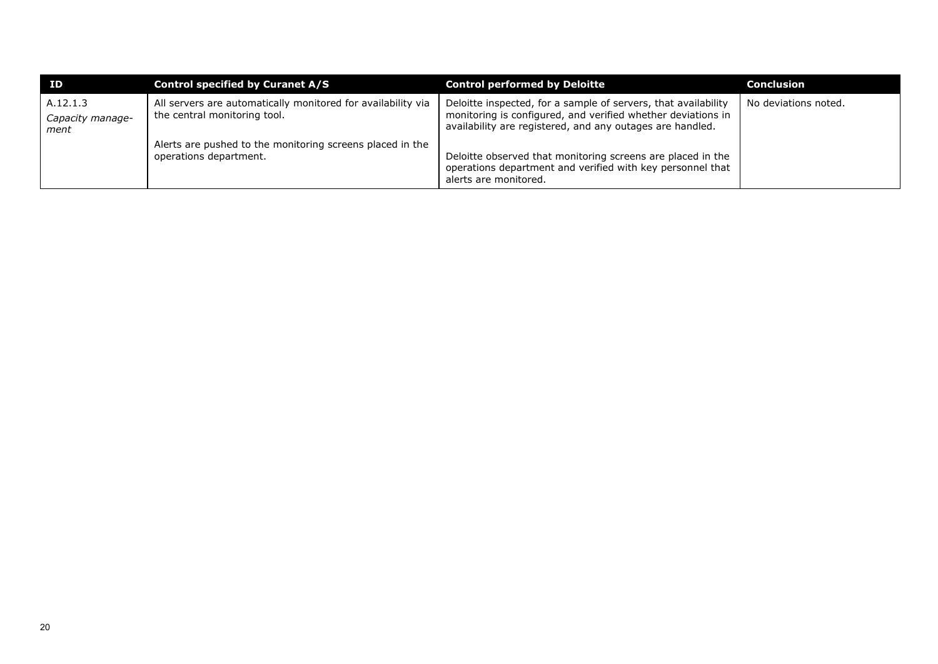| ID                                   | Control specified by Curanet A/S                                                             | <b>Control performed by Deloitte</b>                                                                                                                                                        | <b>Conclusion</b>    |
|--------------------------------------|----------------------------------------------------------------------------------------------|---------------------------------------------------------------------------------------------------------------------------------------------------------------------------------------------|----------------------|
| A.12.1.3<br>Capacity manage-<br>ment | All servers are automatically monitored for availability via<br>the central monitoring tool. | Deloitte inspected, for a sample of servers, that availability<br>monitoring is configured, and verified whether deviations in<br>availability are registered, and any outages are handled. | No deviations noted. |
|                                      | Alerts are pushed to the monitoring screens placed in the<br>operations department.          | Deloitte observed that monitoring screens are placed in the<br>operations department and verified with key personnel that<br>alerts are monitored.                                          |                      |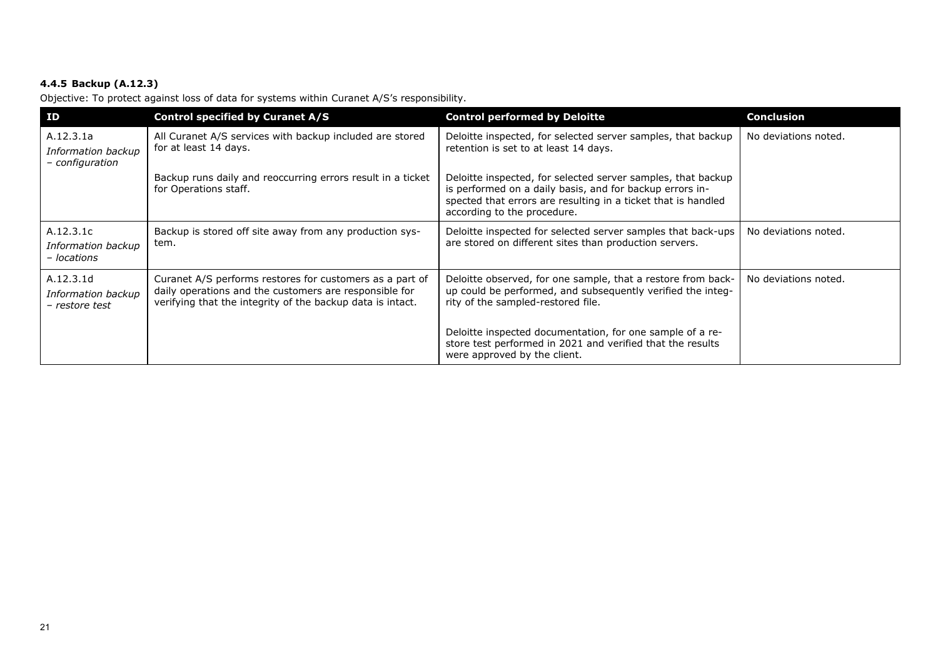# **4.4.5 Backup (A.12.3)**

Objective: To protect against loss of data for systems within Curanet A/S's responsibility.

| ID                                                 | <b>Control specified by Curanet A/S</b>                                                                                                                                          | <b>Control performed by Deloitte</b>                                                                                                                                                                                     | <b>Conclusion</b>    |
|----------------------------------------------------|----------------------------------------------------------------------------------------------------------------------------------------------------------------------------------|--------------------------------------------------------------------------------------------------------------------------------------------------------------------------------------------------------------------------|----------------------|
| A.12.3.1a<br>Information backup<br>- configuration | All Curanet A/S services with backup included are stored<br>for at least 14 days.                                                                                                | Deloitte inspected, for selected server samples, that backup<br>retention is set to at least 14 days.                                                                                                                    | No deviations noted. |
|                                                    | Backup runs daily and reoccurring errors result in a ticket<br>for Operations staff.                                                                                             | Deloitte inspected, for selected server samples, that backup<br>is performed on a daily basis, and for backup errors in-<br>spected that errors are resulting in a ticket that is handled<br>according to the procedure. |                      |
| A.12.3.1c<br>Information backup<br>- locations     | Backup is stored off site away from any production sys-<br>tem.                                                                                                                  | Deloitte inspected for selected server samples that back-ups<br>are stored on different sites than production servers.                                                                                                   | No deviations noted. |
| A.12.3.1d<br>Information backup<br>- restore test  | Curanet A/S performs restores for customers as a part of<br>daily operations and the customers are responsible for<br>verifying that the integrity of the backup data is intact. | Deloitte observed, for one sample, that a restore from back-<br>up could be performed, and subsequently verified the integ-<br>rity of the sampled-restored file.                                                        | No deviations noted. |
|                                                    |                                                                                                                                                                                  | Deloitte inspected documentation, for one sample of a re-<br>store test performed in 2021 and verified that the results<br>were approved by the client.                                                                  |                      |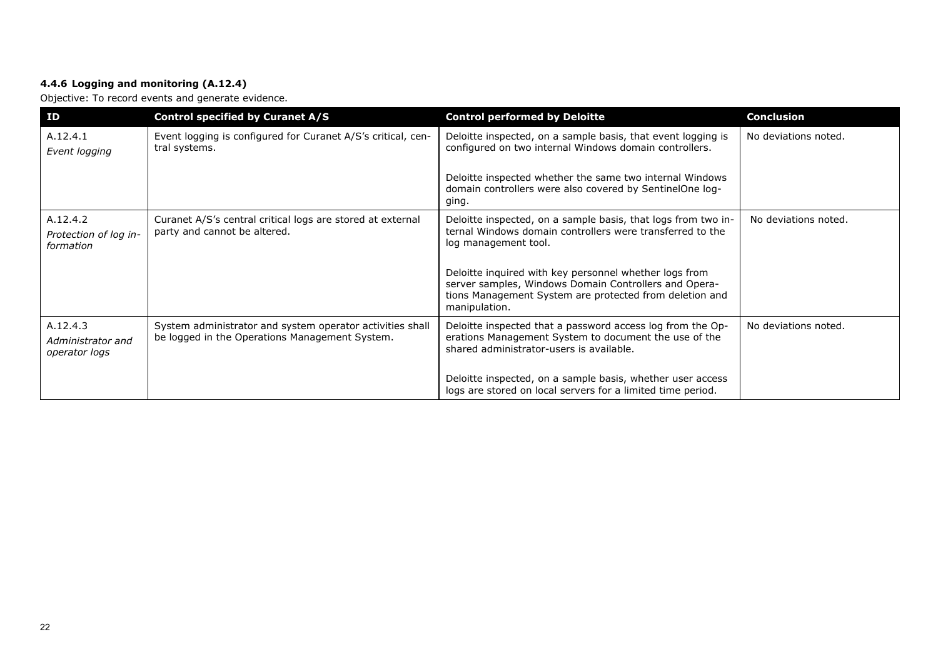# **4.4.6 Logging and monitoring (A.12.4)**

Objective: To record events and generate evidence.

| <b>ID</b>                                      | <b>Control specified by Curanet A/S</b>                                                                     | <b>Control performed by Deloitte</b>                                                                                                                                                                         | <b>Conclusion</b>    |
|------------------------------------------------|-------------------------------------------------------------------------------------------------------------|--------------------------------------------------------------------------------------------------------------------------------------------------------------------------------------------------------------|----------------------|
| A.12.4.1<br>Event logging                      | Event logging is configured for Curanet A/S's critical, cen-<br>tral systems.                               | Deloitte inspected, on a sample basis, that event logging is<br>configured on two internal Windows domain controllers.                                                                                       | No deviations noted. |
|                                                |                                                                                                             | Deloitte inspected whether the same two internal Windows<br>domain controllers were also covered by SentinelOne log-<br>ging.                                                                                |                      |
| A.12.4.2<br>Protection of log in-<br>formation | Curanet A/S's central critical logs are stored at external<br>party and cannot be altered.                  | Deloitte inspected, on a sample basis, that logs from two in-<br>ternal Windows domain controllers were transferred to the<br>log management tool.<br>Deloitte inquired with key personnel whether logs from | No deviations noted. |
|                                                |                                                                                                             | server samples, Windows Domain Controllers and Opera-<br>tions Management System are protected from deletion and<br>manipulation.                                                                            |                      |
| A.12.4.3<br>Administrator and<br>operator logs | System administrator and system operator activities shall<br>be logged in the Operations Management System. | Deloitte inspected that a password access log from the Op-<br>erations Management System to document the use of the<br>shared administrator-users is available.                                              | No deviations noted. |
|                                                |                                                                                                             | Deloitte inspected, on a sample basis, whether user access<br>logs are stored on local servers for a limited time period.                                                                                    |                      |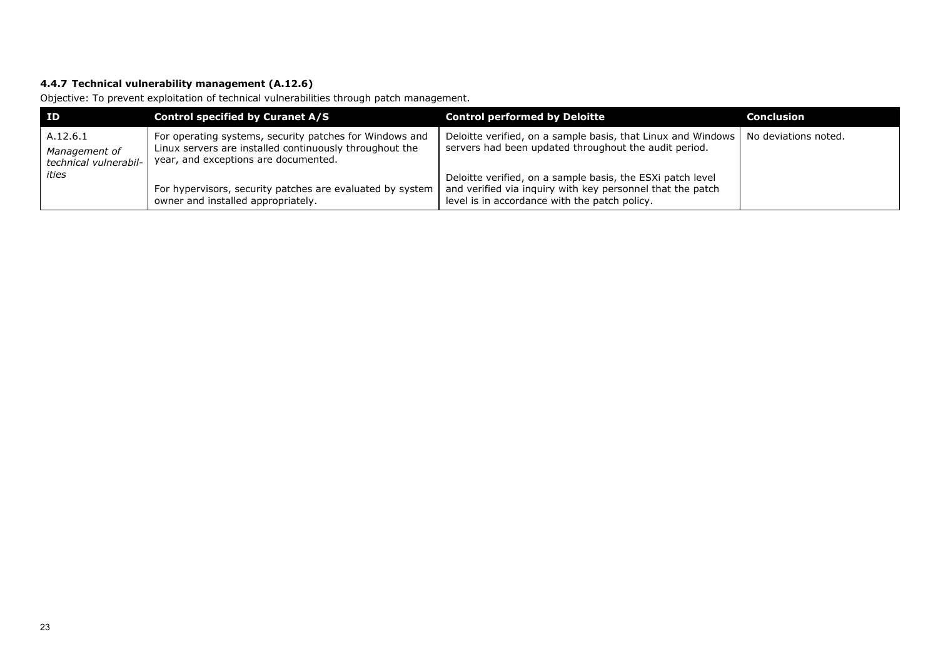# **4.4.7 Technical vulnerability management (A.12.6)**

Objective: To prevent exploitation of technical vulnerabilities through patch management.

| ID                                                 | <b>Control specified by Curanet A/S</b>                                                                                                                    | <b>Control performed by Deloitte</b>                                                                                                                                      | Conclusion           |
|----------------------------------------------------|------------------------------------------------------------------------------------------------------------------------------------------------------------|---------------------------------------------------------------------------------------------------------------------------------------------------------------------------|----------------------|
| A.12.6.1<br>Management of<br>technical vulnerabil- | For operating systems, security patches for Windows and<br>Linux servers are installed continuously throughout the<br>year, and exceptions are documented. | Deloitte verified, on a sample basis, that Linux and Windows  <br>servers had been updated throughout the audit period.                                                   | No deviations noted. |
| ities                                              | For hypervisors, security patches are evaluated by system<br>owner and installed appropriately.                                                            | Deloitte verified, on a sample basis, the ESXi patch level<br>and verified via inquiry with key personnel that the patch<br>level is in accordance with the patch policy. |                      |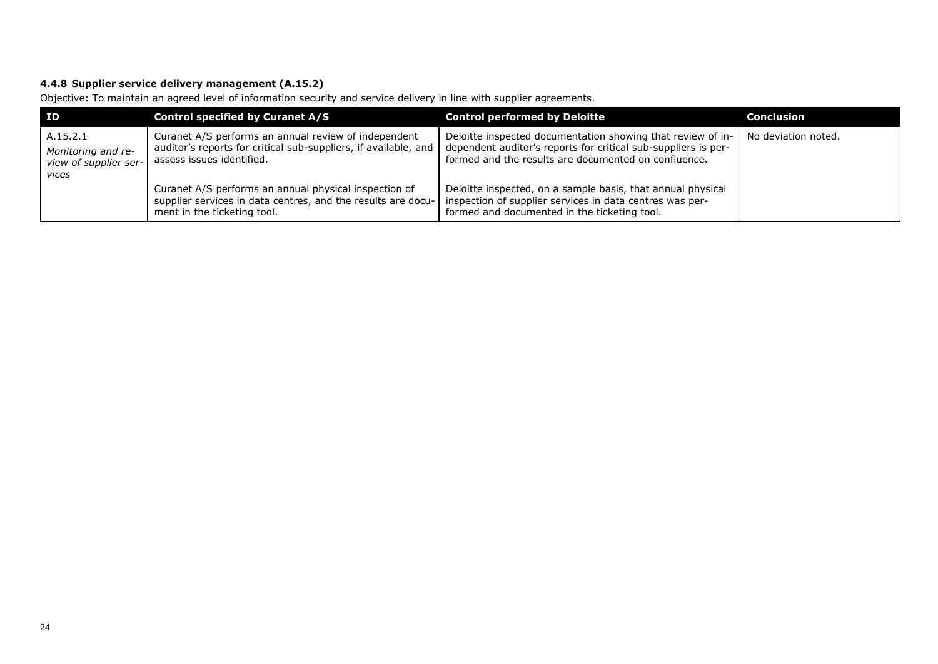# **4.4.8 Supplier service delivery management (A.15.2)**

Objective: To maintain an agreed level of information security and service delivery in line with supplier agreements.

| <b>ID</b>                                                        | <b>Control specified by Curanet A/S</b>                                                                                                              | <b>Control performed by Deloitte</b>                                                                                                                                                  | <b>Conclusion</b>   |
|------------------------------------------------------------------|------------------------------------------------------------------------------------------------------------------------------------------------------|---------------------------------------------------------------------------------------------------------------------------------------------------------------------------------------|---------------------|
| A.15.2.1<br>Monitoring and re-<br>view of supplier ser-<br>vices | Curanet A/S performs an annual review of independent<br>auditor's reports for critical sub-suppliers, if available, and<br>assess issues identified. | Deloitte inspected documentation showing that review of in-<br>dependent auditor's reports for critical sub-suppliers is per-<br>formed and the results are documented on confluence. | No deviation noted. |
|                                                                  | Curanet A/S performs an annual physical inspection of<br>supplier services in data centres, and the results are docu-<br>ment in the ticketing tool. | Deloitte inspected, on a sample basis, that annual physical<br>inspection of supplier services in data centres was per-<br>formed and documented in the ticketing tool.               |                     |